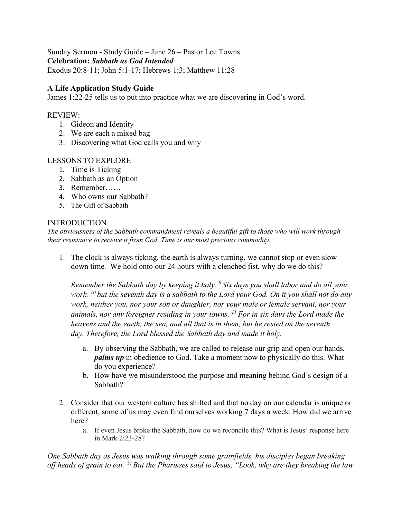Sunday Sermon - Study Guide – June 26 – Pastor Lee Towns **Celebration:** *Sabbath as God Intended* Exodus 20:8-11; John 5:1-17; Hebrews 1:3; Matthew 11:28

# **A Life Application Study Guide**

James 1:22-25 tells us to put into practice what we are discovering in God's word.

### REVIEW:

- 1. Gideon and Identity
- 2. We are each a mixed bag
- 3. Discovering what God calls you and why

### LESSONS TO EXPLORE

- 1. Time is Ticking
- 2. Sabbath as an Option
- 3. Remember……
- 4. Who owns our Sabbath?
- 5. The Gift of Sabbath

#### INTRODUCTION

*The obviousness of the Sabbath commandment reveals a beautiful gift to those who will work through their resistance to receive it from God. Time is our most precious commodity.*

1. The clock is always ticking, the earth is always turning, we cannot stop or even slow down time. We hold onto our 24 hours with a clenched fist, why do we do this?

*Remember the Sabbath day by keeping it holy. <sup>9</sup> Six days you shall labor and do all your work, <sup>10</sup> but the seventh day is a sabbath to the Lord your God. On it you shall not do any work, neither you, nor your son or daughter, nor your male or female servant, nor your animals, nor any foreigner residing in your towns. <sup>11</sup> For in six days the Lord made the heavens and the earth, the sea, and all that is in them, but he rested on the seventh day. Therefore, the Lord blessed the Sabbath day and made it holy.*

- a. By observing the Sabbath, we are called to release our grip and open our hands, *palms up* in obedience to God. Take a moment now to physically do this. What do you experience?
- b. How have we misunderstood the purpose and meaning behind God's design of a Sabbath?
- 2. Consider that our western culture has shifted and that no day on our calendar is unique or different, some of us may even find ourselves working 7 days a week. How did we arrive here?
	- a. If even Jesus broke the Sabbath, how do we reconcile this? What is Jesus' response here in Mark 2:23-28?

*One Sabbath day as Jesus was walking through some grainfields, his disciples began breaking off heads of grain to eat. <sup>24</sup> But the Pharisees said to Jesus, "Look, why are they breaking the law*